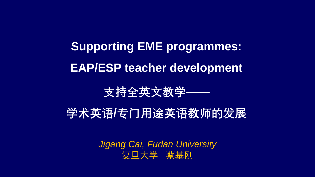**Supporting EME programmes: EAP/ESP teacher development** 

**支持全英文教学——**

**学术英语/专门用途英语教师的发展**

*Jigang Cai, Fudan University* 复旦大学 蔡基刚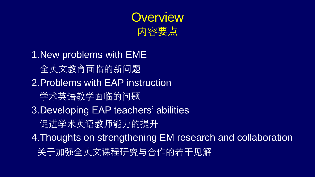

1.New problems with EME 全英文教育面临的新问题 2.Problems with EAP instruction 学术英语教学面临的问题 3.Developing EAP teachers' abilities 促进学术英语教师能力的提升 4.Thoughts on strengthening EM research and collaboration 关于加强全英文课程研究与合作的若干见解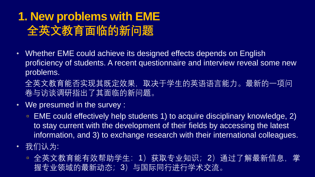# **1. New problems with EME 全英文教育面临的新问题**

- Whether EME could achieve its designed effects depends on English proficiency of students. A recent questionnaire and interview reveal some new problems.
	- 全英文教育能否实现其既定效果,取决于学生的英语语言能力。最新的一项问 卷与访谈调研指出了其面临的新问题。
- We presumed in the survey :
	- EME could effectively help students 1) to acquire disciplinary knowledge, 2) to stay current with the development of their fields by accessing the latest information, and 3) to exchange research with their international colleagues.
- 我们认为:
	- 全英文教育能有效帮助学生:1)获取专业知识;2)通过了解最新信息,掌 握专业领域的最新动态;3)与国际同行进行学术交流。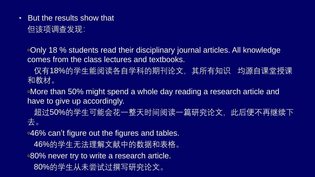• But the results show that 但该项调查发现:

Only 18 % students read their disciplinary journal articles. All knowledge comes from the class lectures and textbooks.

仅有18%的学生能阅读各自学科的期刊论文,其所有知识 均源自课堂授课 和教材。

More than 50% might spend a whole day reading a research article and have to give up accordingly.

超过50%的学生可能会花一整天时间阅读一篇研究论文,此后便不再继续下 去。

**-46% can't figure out the figures and tables.** 

46%的学生无法理解文献中的数据和表格。

■80% never try to write a research article. 80%的学生从未尝试过撰写研究论文。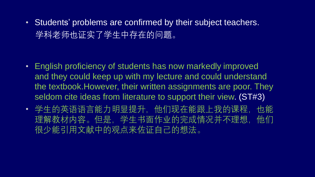• Students' problems are confirmed by their subject teachers. 学科老师也证实了学生中存在的问题。

- English proficiency of students has now markedly improved and they could keep up with my lecture and could understand the textbook.However, their written assignments are poor. They seldom cite ideas from literature to support their view. (ST#3)
- 学生的英语语言能力明显提升,他们现在能跟上我的课程,也能 理解教材内容。但是,学生书面作业的完成情况并不理想,他们 很少能引用文献中的观点来佐证自己的想法。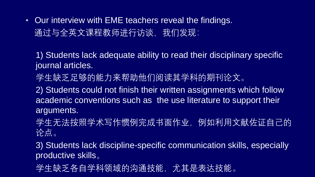• Our interview with EME teachers reveal the findings. 通过与全英文课程教师进行访谈,我们发现:

1) Students lack adequate ability to read their disciplinary specific journal articles.

学生缺乏足够的能力来帮助他们阅读其学科的期刊论文。

2) Students could not finish their written assignments which follow academic conventions such as the use literature to support their arguments.

学生无法按照学术写作惯例完成书面作业, 例如利用文献佐证自己的 论点。

3) Students lack discipline-specific communication skills, especially productive skills。

学生缺乏各自学科领域的沟通技能,尤其是表达技能。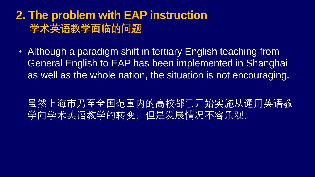### **2. The problem with EAP instruction 学术英语教学面临的问题**

• Although a paradigm shift in tertiary English teaching from General English to EAP has been implemented in Shanghai as well as the whole nation, the situation is not encouraging.

虽然上海市乃至全国范围内的高校都已开始实施从通用英语教 学向学术英语教学的转变,但是发展情况不容乐观。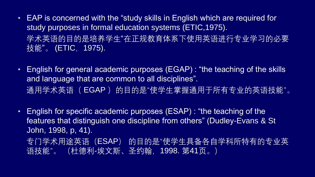- EAP is concerned with the "study skills in English which are required for study purposes in formal education systems (ETIC,1975). 学术英语的目的是培养学生"在正规教育体系下使用英语进行专业学习的必要 技能" 。 (ETIC,1975).
- English for general academic purposes (EGAP) : "the teaching of the skills and language that are common to all disciplines". 通用学术英语( EGAP)的目的是"使学生掌握通用于所有专业的英语技能"。
- English for specific academic purposes (ESAP) : "the teaching of the features that distinguish one discipline from others" (Dudley-Evans & St John, 1998, p, 41). 专门学术用途英语(ESAP) 的目的是"使学生具备各自学科所特有的专业英 语技能"。 (杜德利-埃文斯、圣约翰,1998. 第41页。)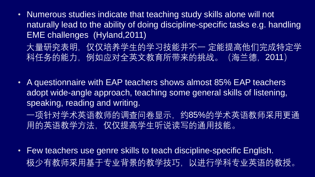- Numerous studies indicate that teaching study skills alone will not naturally lead to the ability of doing discipline-specific tasks e.g. handling EME challenges (Hyland,2011)
	- 大量研究表明, 仅仅培养学生的学习技能并不一 定能提高他们完成特定学 科任务的能力,例如应对全英文教育所带来的挑战。(海兰德, 2011)
- A questionnaire with EAP teachers shows almost 85% EAP teachers adopt wide-angle approach, teaching some general skills of listening, speaking, reading and writing.
	- 一项针对学术英语教师的调查问卷显示,约85%的学术英语教师采用更通 用的英语教学方法,仅仅提高学生听说读写的通用技能。
- Few teachers use genre skills to teach discipline-specific English. 极少有教师采用基于专业背景的教学技巧,以进行学科专业英语的教授。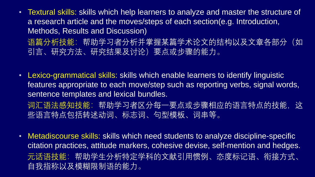- Textural skills: skills which help learners to analyze and master the structure of a research article and the moves/steps of each section(e.g. Introduction, Methods, Results and Discussion)
	- 语篇分析技能:帮助学习者分析并掌握某篇学术论文的结构以及文章各部分(如 引言、研究方法、研究结果及讨论)要点或步骤的能力。
- Lexico-grammatical skills: skills which enable learners to identify linguistic features appropriate to each move/step such as reporting verbs, signal words, sentence templates and lexical bundles. 词汇语法感知技能:帮助学习者区分每一要点或步骤相应的语言特点的技能,这 些语言特点包括转述动词、标志词、句型模板、词串等。
- Metadiscourse skills: skills which need students to analyze discipline-specific citation practices, attitude markers, cohesive devise, self-mention and hedges. 元话语技能:帮助学生分析特定学科的文献引用惯例、态度标记语、衔接方式、 自我指称以及模糊限制语的能力。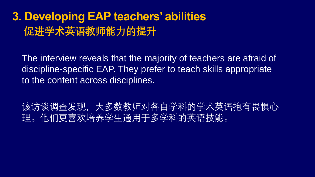## **3. Developing EAP teachers' abilities 促进学术英语教师能力的提升**

The interview reveals that the majority of teachers are afraid of discipline-specific EAP. They prefer to teach skills appropriate to the content across disciplines.

该访谈调查发现,大多数教师对各自学科的学术英语抱有畏惧心 理。他们更喜欢培养学生通用于多学科的英语技能。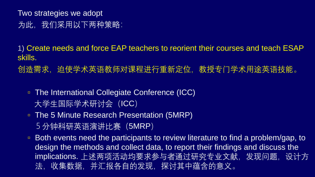Two strategies we adopt 为此,我们采用以下两种策略:

1) Create needs and force EAP teachers to reorient their courses and teach ESAP skills.

创造需求,迫使学术英语教师对课程进行重新定位,教授专门学术用途英语技能。

- The International Collegiate Conference (ICC) 大学生国际学术研讨会 (ICC)
- The 5 Minute Research Presentation (5MRP) 5分钟科研英语演讲比赛 (5MRP)
- Both events need the participants to review literature to find a problem/gap, to design the methods and collect data, to report their findings and discuss the implications. 上述两项活动均要求参与者通过研究专业文献, 发现问题, 设计方 法,收集数据,并汇报各自的发现,探讨其中蕴含的意义。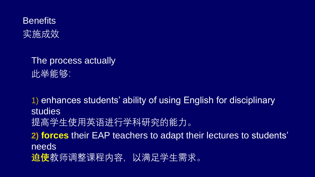**Benefits** 实施成效

> The process actually 此举能够:

1) enhances students' ability of using English for disciplinary studies 提高学生使用英语进行学科研究的能力。 **2) forces** their EAP teachers to adapt their lectures to students' needs **迫使**教师调整课程内容,以满足学生需求。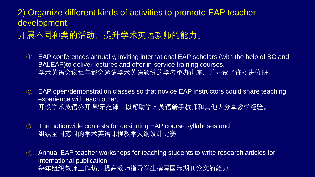#### 2) Organize different kinds of activities to promote EAP teacher development.

### 开展不同种类的活动,提升学术英语教师的能力。

- ① EAP conferences annually, inviting international EAP scholars (with the help of BC and BALEAP)to deliver lectures and offer in-service training courses, 学术英语会议每年都会邀请学术英语领域的学者举办讲座,并开设了许多进修班。
- ② EAP open/demonstration classes so that novice EAP instructors could share teaching experience with each other, 开设学术英语公开课/示范课,以帮助学术英语新手教师和其他人分享教学经验。
- ③ The nationwide contests for designing EAP course syllabuses and 组织全国范围的学术英语课程教学大纲设计比赛
- ④ Annual EAP teacher workshops for teaching students to write research articles for international publication 每年组织教师工作坊,提高教师指导学生撰写国际期刊论文的能力